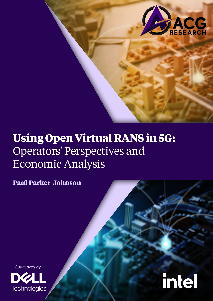

# **Using Open Virtual RANS in 5G:**  Operators' Perspectives and Economic Analysis

**Paul Parker-Johnson**





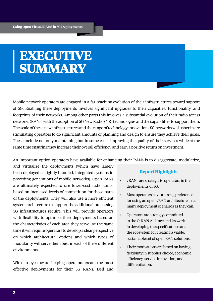# **EXECUTIVE SUMMARY**

Mobile network operators are engaged in a far-reaching evolution of their infrastructures toward support of 5G. Enabling these deployments involves significant upgrades to their capacities, functionality, and footprints of their networks. Among other parts this involves a substantial evolution of their radio access networks (RANs) with the adoption of 5G New Radio (NR) technologies and the capabilities to support them. The scale of these new infrastructures and the range of technology innovations 5G networks will usher in are stimulating operators to do significant amounts of planning and design to ensure they achieve their goals. These include not only maintaining but in some cases improving the quality of their services while at the same time ensuring they increase their overall efficiency and earn a positive return on investment.

An important option operators have available for enhancing their RANs is to disaggregate, modularize,

and virtualize the deployments (which have largely been deployed as tightly bundled, integrated systems in preceding generations of mobile networks). Open RANs are ultimately expected to use lower-cost radio units, based on increased levels of competition for those parts of the deployments. They will also use a more efficient system architecture to support the additional processing 5G infrastructures require. This will provide operators with flexibility to optimize their deployments based on the characteristics of each area they serve. At the same time it will require operators to develop a clear perspective on which architectural options and which types of modularity will serve them best in each of these different environments.

With an eye toward helping operators create the most effective deployments for their 5G RANs, Dell and

## **Report Highlights**

- vRANs are strategic to operators in their deployments of 5G.
- Most operators have a strong preference for using an open vRAN architecture in as many deployment scenarios as they can.
- Operators are strongly committed to the O-RAN Alliance and its work in developing the specifications and the ecosystem for creating a viable, sustainable set of open RAN solutions.
- Their motivations are based on having flexibility in supplier choice, economic efficiency, service innovation, and differentiation.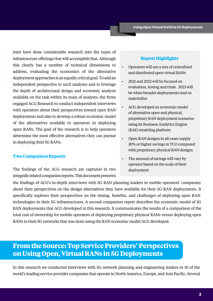Intel have done considerable research into the types of infrastructure offerings that will accomplish that. Although this clearly has a number of technical dimensions to address, evaluating the economics of the alternative deployment approaches is an equally critical goal. To add an independent perspective to such analyses and to leverage the depth of architectural design and economic analysis available on the task within its team of analysts, the firms engaged ACG Research to conduct independent interviews with operators about their perspectives toward open RAN deployments and also to develop a robust economic model of the alternatives available to operators in deploying open RANs. The goal of the research is to help operators determine the most effective alternatives they can pursue in deploying their 5G RANs.

#### **Two Companion Reports**

The findings of the ACG research are captured in two integrally related companion reports. This document presents

## **Report Highlights**

- Operators will use a mix of centralized and distributed open virtual RANs
- 2021 and 2022 will be focused on evaluation, testing and trials. 2023 will be when broader deployments start to materialize
- ACG developed an economic model of alternative open and physical, proprietary RAN deployment scenarios using its Business Analytics Engine (BAE) modeling platform
- Open RAN designs in all cases supply 30% or higher savings in TCO compared with proprietary physical RAN designs
- The amount of savings will vary by operator based on the scale of their deployment

the findings of ACG's in-depth interviews with 5G RAN planning leaders in mobile operators' companies about their perspectives on the design alternatives they have available for their 5G RAN deployments. It specifically explores their perspectives on the timing, benefits, and challenges of deploying open RAN technologies in their 5G infrastructures. A second companion report describes the economic model of 5G RAN deployments that ACG developed in this research. It communicates the results of a comparison of the total cost of ownership for mobile operators of deploying proprietary physical RANs versus deploying open RANs in their 5G networks that was done using the RAN economic model ACG developed.

# **From the Source: Top Service Providers' Perspectives on Using Open, Virtual RANs in 5G Deployments**

In this research we conducted interviews with 5G network planning and engineering leaders in 10 of the world's leading service provider companies that operate in North America, Europe, and Asia Pacific. Several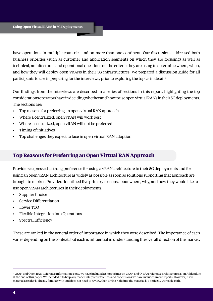have operations in multiple countries and on more than one continent. Our discussions addressed both business priorities (such as customer and application segments on which they are focusing) as well as technical, architectural, and operational questions on the criteria they are using to determine where, when, and how they will deploy open vRANs in their 5G infrastructures. We prepared a discussion guide for all participants to use in preparing for the interviews, prior to exploring the topics in detail.<sup>1</sup>

Our findings from the interviews are described in a series of sections in this report, highlighting the top considerations operators have in deciding whether and how to use open virtual RANs in their 5G deployments. The sections are:

- Top reasons for preferring an open virtual RAN approach
- Where a centralized, open vRAN will work best
- Where a centralized, open vRAN will not be preferred
- Timing of initiatives
- Top challenges they expect to face in open virtual RAN adoption

## **Top Reasons for Preferring an Open Virtual RAN Approach**

Providers expressed a strong preference for using a vRAN architecture in their 5G deployments and for using an open vRAN architecture as widely as possible as soon as solutions supporting that approach are brought to market. Providers identified five primary reasons about where, why, and how they would like to use open vRAN architectures in their deployments:

- Supplier Choice
- Service Differentiation
- Lower TCO
- Flexible Integration into Operations
- Spectral Efficiency

These are ranked in the general order of importance in which they were described. The importance of each varies depending on the context, but each is influential in understanding the overall direction of the market.

<sup>1</sup> vRAN and Open RAN Reference Information: Note, we have included a short primer on vRAN and O-RAN reference architectures as an Addendum at the end of this paper. We included it to help any reader interpret references and conclusions we have included in our reports. However, if it is material a reader is already familiar with and does not need to review, then diving right into the material is a perfectly workable path.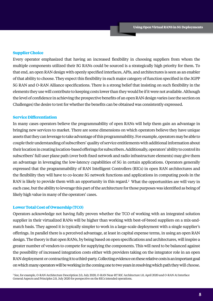## **Supplier Choice**

Every operator emphasized that having an increased flexibility in choosing suppliers from whom the multiple components utilized their 5G RANs could be sourced is a strategically high priority for them. To that end, an open RAN design with openly specified interfaces, APIs, and architectures is seen as an enabler of that ability to choose. They expect this flexibility in each major category of function specified in the 3GPP 5G RAN and O-RAN Alliance specifications. There is a strong belief that insisting on such flexibility in the elements they use will contribute to keeping costs lower than they would be if it were not available. Although the level of confidence in achieving the prospective benefits of an open RAN design varies (see the section on Challenges) the desire to test for whether the benefits can be obtained was consistently expressed.

## **Service Differentiation**

In many cases operators believe the programmability of open RANs will help them gain an advantage in bringing new services to market. There are some dimensions on which operators believe they have unique assets that they can leverage to take advantage of this programmability. For example, operators may be able to couple their understanding of subscribers' quality of service entitlements with additional information about their location in creating location-based offerings for subscribers. Additionally, operators' ability to control its subscribers' full user plane path (over both fixed network and radio infrastructure elements) may give them an advantage in leveraging the low-latency capabilities of 5G in certain applications. Operators generally expressed that the programmability of RAN Intelligent Controllers (RICs) in open RAN architectures and the flexibility they will have to co-locate 5G network functions and applications in computing pools in the RAN is likely to provide them with an opportunity in this regard.<sup>2</sup> What the opportunities are will vary in each case, but the ability to leverage this part of the architecture for those purposes was identified as being of likely high value in many of the operators' cases.

## **Lower Total Cost of Ownership (TCO)**

Operators acknowledge not having fully proven whether the TCO of working with an integrated solution supplier in their virtualized RANs will be higher than working with best-of-breed suppliers on a mix-andmatch basis. They agreed it is typically simpler to work in a large-scale deployment with a single supplier's offerings. In parallel there is a perceived advantage, at least in capital expense terms, in using an open RAN design. The theory is that open RANs, by being based on open specifications and architectures, will inspire a greater number of vendors to compete for supplying the components. This will need to be balanced against the possibility of increased integration costs either with providers taking on the integrator role in an open RAN deployment or contracting it to a third-party. Collecting evidence on these relative costs is an important goal on which many operators will be working in the coming one to two years in resolving which path they will choose.

2 See, for example, O-RAN Architecture Description 2.0, July 2020, O-RAN Near-RT RIC Architecture 1.0, April 2020 and O-RAN A1 Interface General Aspects and Principles 2.0, July 2020 for perspective on the RICs intended operations.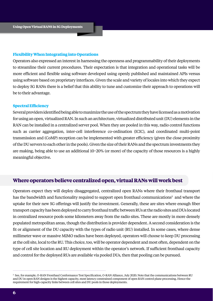## **Flexibility When Integrating into Operations**

Operators also expressed an interest in harnessing the openness and programmability of their deployments to streamline their current procedures. Their expectation is that integration and operational tasks will be more efficient and flexible using software developed using openly published and maintained APIs versus using software based on proprietary interfaces. Given the scale and variety of locales into which they expect to deploy 5G RANs there is a belief that this ability to tune and customize their approach to operations will be to their advantage.

#### **Spectral Efficiency**

Several providers identified being able to maximize the use of the spectrum they have licensed as a motivation for using an open, virtualized RAN. In such an architecture, virtualized distributed unit (DU) elements in the RAN can be installed in a centralized server pool. When they are pooled in this way, radio control functions such as carrier aggregation, inter-cell interference co-ordination (ICIC), and coordinated multi-point transmission and (CoMP) reception can be implemented with greater efficiency (given the close proximity of the DU servers to each other in the pools). Given the size of their RANs and the spectrum investments they are making, being able to use an additional 10−20% (or more) of the capacity of those resources is a highly meaningful objective.

## **Where operators believe centralized open, virtual RANs will work best**

Operators expect they will deploy disaggregated, centralized open RANs where their fronthaul transport has the bandwidth and functionality required to support open fronthaul communications<sup>3</sup> and where the uptake for their new 5G offerings will justify the investment. Generally, these are sites where enough fiber transport capacity has been deployed to carry fronthaul traffic between RUs at the radio sites and DUs located in centralized resource pools some kilometers away from the radio sites. These are mostly in more densely populated metropolitan areas, though the distribution is provider dependent. A second consideration is the fit or alignment of the DU capacity with the types of radio unit (RU) installed. In some cases, where dense millimeter wave or massive MIMO radios have been deployed, operators will choose to keep DU processing at the cell site, local to the RU. This choice, too, will be operator dependent and most often, dependent on the type of cell site location and RU deployment within the operator's network. If sufficient fronthaul capacity and control for the deployed RUs are available via pooled DUs, then that pooling can be pursued.

<sup>3</sup> See, for example, O-RAN Fronthaul Conformance Test Specification, O-RAN Alliance, July 2020. Note that the communications between RU and DU in open RAN designs is the highest capacity, most latency constrained component of open RAN control plane processing. Hence the requirement for high-capacity links between cell sites and DU pools in those deployments.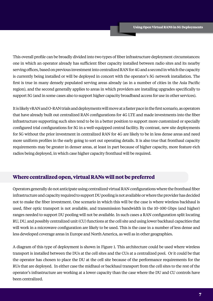This overall profile can be broadly divided into two types of fiber infrastructure deployment circumstances: one in which an operator already has sufficient fiber capacity installed between radio sites and its nearby serving offices, based on previous investment into centralized RAN for 4G and a second in which the capacity is currently being installed or will be deployed in concert with the operator's 5G network installation. The first is true in many densely populated serving areas already (as in a number of cities in the Asia Pacific region), and the second generally applies to areas in which providers are installing upgrades specifically to support 5G (and in some cases also to support higher capacity broadband access for use in other services).

It is likely vRAN and O-RAN trials and deployments will move at a faster pace in the first scenario, as operators that have already built out centralized RAN configurations for 4G LTE and made investments into the fiber infrastructure supporting such sites tend to be in a better position to support more customized or specially configured trial configurations for 5G in a well-equipped central facility. By contrast, new site deployments for 5G without the prior investment in centralized RAN for 4G are likely to be in less dense areas and need more uniform profiles in the early going to sort out operating details. It is also true that fronthaul capacity requirements may be greater in denser areas, at least in part because of higher capacity, more feature-rich radios being deployed, in which case higher capacity fronthaul will be required.

## **Where centralized open, virtual RANs will not be preferred**

Operators generally do not anticipate using centralized virtual RAN configurations where the fronthaul fiber infrastructure and capacity required to support DU pooling is not available or where the provider has decided not to make the fiber investment. One scenario in which this will be the case is where wireless backhaul is used, fiber optic transport is not available, and transmission bandwidth in the 10−100 Gbps (and higher) ranges needed to support DU pooling will not be available. In such cases a RAN configuration split locating RU, DU, and possibly centralized unit (CU) functions at the cell site and using lower backhaul capacities that will work in a microwave configuration are likely to be used. This is the case in a number of less dense and less developed coverage areas in Europe and North America, as well as in other geographies.

A diagram of this type of deployment is shown in Figure 1. This architecture could be used where wireless transport is installed between the DUs at the cell sites and the CUs at a centralized pool. Or it could be that the operator has chosen to place the DU at the cell site because of the performance requirements for the RUs that are deployed. In either case the midhaul or backhaul transport from the cell sites to the rest of the operator's infrastructure are working at a lower capacity than the case where the DU and CU controls have been centralized.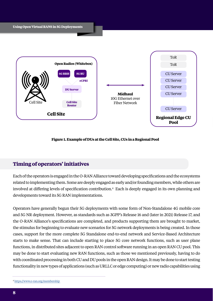

## **Figure 1. Example of DUs at the Cell Site, CUs in a Regional Pool**

## **Timing of operators' initiatives**

Each of the operators is engaged in the O-RAN Alliance toward developing specifications and the ecosystems related to implementing them. Some are deeply engaged as early and/or founding members, while others are involved at differing levels of specification contribution.<sup>4</sup> Each is deeply engaged in its own planning and developments toward its 5G RAN implementations.

Operators have generally begun their 5G deployments with some form of Non-Standalone 4G mobile core and 5G NR deployment. However, as standards such as 3GPP's Release 16 and (later in 2021) Release 17, and the O-RAN Alliance's specifications are completed, and products supporting them are brought to market, the stimulus for beginning to evaluate new scenarios for 5G network deployments is being created. In those cases, support for the more complete 5G Standalone end-to-end network and Service-Based Architecture starts to make sense. That can include starting to place 5G core network functions, such as user plane functions, in distributed sites adjacent to open RAN control software running in an open RAN CU pool. This may be done to start evaluating new RAN functions, such as those we mentioned previously, having to do with coordinated processing in both CU and DU pools in the open RAN design. It may be done to start testing functionality in new types of applications (such as URLLC or edge computing) or new radio capabilities using

<sup>4</sup> [https://www.o-ran.org/membership](https://www.o-ran.org/membership )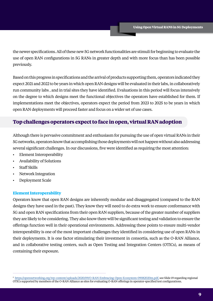the newer specifications. All of these new 5G network functionalities are stimuli for beginning to evaluate the use of open RAN configurations in 5G RANs in greater depth and with more focus than has been possible previously.

Based on this progress in specifications and the arrival of products supporting them, operators indicated they expect 2021 and 2022 to be years in which open RAN designs will be evaluated in their labs, in collaboratively run community labs , and in trial sites they have identified. Evaluations in this period will focus intensively on the degree to which designs meet the functional objectives the operators have established for them. If implementations meet the objectives, operators expect the period from 2023 to 2025 to be years in which open RAN deployments will proceed faster and focus on a wider set of use cases.

## **Top challenges operators expect to face in open, virtual RAN adoption**

Although there is pervasive commitment and enthusiasm for pursuing the use of open virtual RANs in their 5G networks, operators know that accomplishing those deployments will not happen without also addressing several significant challenges. In our discussions, five were identified as requiring the most attention:

- Element Interoperability
- Availability of Solutions
- Staff Skills
- Network Integration
- Deployment Scale

## **Element Interoperability**

Operators know that open RAN designs are inherently modular and disaggregated (compared to the RAN designs they have used in the past). They know they will need to do extra work to ensure conformance with 5G and open RAN specifications from their open RAN suppliers, because of the greater number of suppliers they are likely to be considering. They also know there will be significant testing and validation to ensure the offerings function well in their operational environments. Addressing these points to ensure multi-vendor interoperability is one of the most important challenges they identified in considering use of open RANs in their deployments. It is one factor stimulating their investment in consortia, such as the O-RAN Alliance, and in collaborative testing centers, such as Open Testing and Integration Centers (OTICs), as means of containing their exposure.

<sup>5</sup> [https://opennetworking.org/wp-content/uploads/2020/09/O-RAN-Embracing-Open-Ecosystem-09082020m.pdf,](https://opennetworking.org/wp-content/uploads/2020/09/O-RAN-Embracing-Open-Ecosystem-09082020m.pdf) see Slide 19 regarding regional OTICs supported by members of the O-RAN Alliance as sites for evaluating O-RAN offerings in operator-specified test configurations.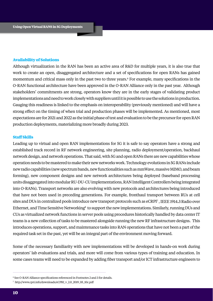#### **Availability of Solutions**

Although virtualization in the RAN has been an active area of R&D for multiple years, it is also true that work to create an open, disaggregated architecture and a set of specifications for open RANs has gained momentum and critical mass only in the past two to three years.<sup>6</sup> For example, many specifications in the O-RAN functional architecture have been approved in the O-RAN Alliance only in the past year. Although stakeholders' commitments are strong, operators know they are in the early stages of validating product implementations and need to work closely with suppliers until it is possible to use the solutions in production. Gauging this readiness is linked to the emphasis on interoperability (previously mentioned) and will have a strong effect on the timing of when trial and production phases will be implemented. As mentioned, most expectations are for 2021 and 2022 as the initial phase of test and evaluation to be the precursor for open RAN production deployments, materializing more broadly during 2023.

#### **Staff Skills**

Leading up to virtual and open RAN implementations for 5G it is safe to say operators have a strong and established track record in RF network engineering, site planning, radio deployment/operation, backhaul network design, and network operations. That said, with 5G and open RANs there are new capabilities whose operation needs to be mastered to make their new networks work. Technology evolutions in 5G RANs include new radio capabilities (new spectrum bands, new functionalities such as mmWave, massive MIMO, and beam forming), new component designs and new network architectures being deployed (baseband processing units disaggregated into modular RU-DU-CU implementations, RAN Intelligent Controllers being integrated into O-RANs). Transport networks are also evolving with new protocols and architectures being introduced that have not been used in preceding generations. For example, fronthaul transport between RUs at cell sites and DUs in centralized pools introduce new transport protocols such as eCRPI<sup>7</sup>, IEEE 1914.3 Radio over Ethernet, and Time Sensitive Networking<sup>8</sup> to support the new implementations. Similarly, running DUs and CUs as virtualized network functions in server pools using procedures historically handled by data center IT teams is a new collection of tasks to be mastered alongside running the new RF infrastructure designs. This introduces operations, support, and maintenance tasks into RAN operations that have not been a part of the required task set in the past, yet will be an integral part of the environment moving forward.

Some of the necessary familiarity with new implementations will be developed in hands-on work during operators' lab evaluations and trials, and more will come from various types of training and education. In some cases teams will need to be expanded by adding fiber transport and/or ICT infrastructure engineers to

<sup>6</sup> See O-RAN Alliance specifications referenced in Footnotes 2 and 3 for details.

<sup>7</sup> http://www.cpri.info/downloads/eCPRI\_v\_2.0\_2019\_05\_10c.pdf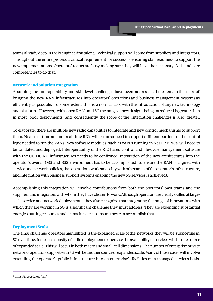teams already deep in radio engineering talent. Technical support will come from suppliers and integrators. Throughout the entire process a critical requirement for success is ensuring staff readiness to support the new implementations. Operators' teams are busy making sure they will have the necessary skills and core competencies to do that.

#### **Network and Solution Integration**

Assuming the interoperability and skill-level challenges have been addressed, there remain the tasks of bringing the new RAN infrastructures into operators' operations and business management systems as efficiently as possible. To some extent this is a normal task with the introduction of any new technology and platform. However, with open RANs and 5G the range of new designs being introduced is greater than in most prior deployments, and consequently the scope of the integration challenges is also greater.

To elaborate, there are multiple new radio capabilities to integrate and new control mechanisms to support them. Near-real-time and nonreal-time RICs will be introduced to support different portions of the control logic needed to run the RANs. New software modules, such as xAPPs running in Near-RT RICs, will need to be validated and deployed. Interoperability of the RIC based control and life-cycle management software with the CU-DU-RU infrastructures needs to be confirmed. Integration of the new architectures into the operator's overall OSS and BSS environment has to be accomplished (to ensure the RAN is aligned with service and network policies, that operations work smoothly with other areas of the operator's infrastructure, and integration with business support systems enabling the new 5G services is achieved).

Accomplishing this integration will involve contributions from both the operators' own teams and the suppliers and integrators with whom they have chosen to work. Although operators are clearly skilled at largescale service and network deployments, they also recognize that integrating the range of innovations with which they are working in 5G is a significant challenge they must address. They are expending substantial energies putting resources and teams in place to ensure they can accomplish that.

## **Deployment Scale**

The final challenge operators highlighted is the expanded scale ofthe networks they will be supporting in 5G over time. Increased density of radio deployment to increase the availability of services will be one source of expanded scale. This will occur in bothmacro andsmall-cell dimensions. The number of enterprise private networks operators support with 5Gwill be another source of expanded scale. Many of those cases will involve extending the operator's public infrastructure into an enterprise's facilities on a managed services basis.

<sup>8</sup> https://1.ieee802.org/tsn/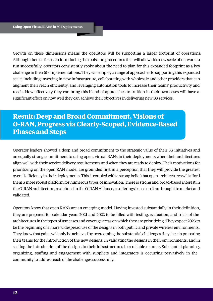Growth on these dimensions means the operators will be supporting a larger footprint of operations. Although there is focus on introducing the tools and procedures that will allow this new scale of network to run successfully, operators consistently spoke about the need to plan for this expanded footprint as a key challenge in their 5G implementations. They will employ a range of approaches to supporting this expanded scale, including investing in new infrastructure, collaborating with wholesale and other providers that can augment their reach efficiently, and leveraging automation tools to increase their teams' productivity and reach. How effectively they can bring this blend of approaches to fruition in their own cases will have a significant effect on how well they can achieve their objectives in delivering new 5G services.

# **Result: Deep and Broad Commitment, Visions of O-RAN, Progress via Clearly-Scoped, Evidence-Based Phases and Steps**

Operator leaders showed a deep and broad commitment to the strategic value of their 5G initiatives and an equally strong commitment to using open, virtual RANs in their deployments when their architectures align well with their service delivery requirements and when they are ready to deploy. Their motivations for prioritizing on the open RAN model are grounded first in a perception that they will provide the greatest overall efficiency in their deployments. This is coupled with a strong belief that open architectures will afford them a more robust platform for numerous types of innovation. There is strong and broad-based interest in the O-RAN architecture, as defined in the O-RAN Alliance, as offerings based on it are brought to market and validated.

Operators know that open RANs are an emerging model. Having invested substantially in their definition, they are prepared for calendar years 2021 and 2022 to be filled with testing, evaluation, and trials of the architectures in the types of use cases and coverage areas on which they are prioritizing. They expect 2023 to be the beginning of a more widespread use of the designs in both public and private wireless environments. They know that gains will only be achieved by overcoming the substantial challenges they face in preparing their teams for the introduction of the new designs, in validating the designs in their environments, and in scaling the introduction of the designs in their infrastructures in a reliable manner. Substantial planning, organizing, staffing, and engagement with suppliers and integrators is occurring pervasively in the community to address each of the challenges successfully.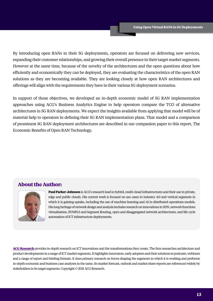By introducing open RANs in their 5G deployments, operators are focused on delivering new services, expanding their customer relationships, and growing their overall presence in their target market segments. However at the same time, because of the novelty of the architectures and the open questions about how efficiently and economically they can be deployed, they are evaluating the characteristics of the open RAN solutions as they are becoming available. They are looking closely at how open RAN architectures and offerings will align with the requirements they have in their various 5G deployment scenarios.

In support of those objectives, we developed an in-depth economic model of 5G RAN implementation approaches using ACG's Business Analytics Engine to help operators compare the TCO of alternative architectures in 5G RAN deployments. We expect the insights available from applying that model will be of material help to operators in defining their 5G RAN implementation plans. That model and a comparison of prominent 5G RAN deployment architectures are described in our companion paper to this report, The Economic Benefits of Open RAN Technology.

## **About the Author:**



[Paul Parker-Johnson](https://acgcc.com/analysts/paul-parker-johnson/) is ACG's research lead in hybrid, multi-cloud infrastructures and their use in private, edge and public clouds. His current work is focused on use cases in industry 4.0 and vertical segments in which it is gaining uptake, including the use of machine learning and AI in distributed operations models. His long heritage of network design and analysis includes research on innovations in SDN, network functions virtualization, IP/MPLS and Segment Routing, open and disaggregated network architectures, and life cycle automation of ICT infrastructure deployments.

**[ACG Research](https://www.acgcc.com)** provides in-depth research on ICT innovations and the transformations they create. The firm researches architecture and product developments in a range of ICT market segments. It highlights innovators, early adopters and their solutions in podcasts, webinars and a range of report and briefing formats. It does primary research on forces shaping the segments in which it is working and performs in-depth economic and business case analyses in the same. Its market forecast, outlook and market share reports are referenced widely by stakeholders in its target segments. Copyright © 2021 ACG Research.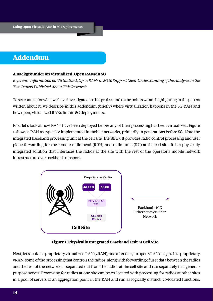## **Addendum**

## **A Backgrounder on Virtualized, Open RANs in 5G**

*Reference Information on Virtualized, Open RANs in 5G to Support Clear Understanding of the Analyses in the Two Papers Published About This Research*

To set context for what we have investigated in this project and to the points we are highlighting in the papers written about it, we describe in this addendum (briefly) where virtualization happens in the 5G RAN and how open, virtualized RANs fit into 5G deployments.

First let's look at how RANs have been deployed before any of their processing has been virtualized. Figure 1 shows a RAN as typically implemented in mobile networks, primarily in generations before 5G. Note the integrated baseband processing unit at the cell site (the BBU). It provides radio control processing and user plane forwarding for the remote radio head (RRH) and radio units (RU) at the cell site. It is a physically integrated solution that interfaces the radios at the site with the rest of the operator's mobile network infrastructure over backhaul transport.



## **Figure 1. Physically Integrated Baseband Unit at Cell Site**

Next, let's look at a proprietary virtualized RAN (vRAN), and after that, an open vRAN design. In a proprietary vRAN, some of the processing that controls the radios, along with forwarding of user data between the radios and the rest of the network, is separated out from the radios at the cell site and run separately in a generalpurpose server. Processing for radios at one site can be co-located with processing for radios at other sites in a pool of servers at an aggregation point in the RAN and run as logically distinct, co-located functions.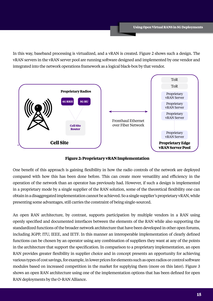In this way, baseband processing is virtualized, and a vRAN is created. Figure 2 shows such a design. The vRAN servers in the vRAN server pool are running software designed and implemented by one vendor and integrated into the network operations framework as a logical black-box by that vendor.



**Figure 2: Proprietary vRAN Implementation**

One benefit of this approach is gaining flexibility in how the radio controls of the network are deployed compared with how this has been done before. This can create more versatility and efficiency in the operation of the network than an operator has previously had. However, if such a design is implemented in a proprietary mode by a single supplier of the RAN solution, some of the theoretical flexibility one can obtain in a disaggregated implementation cannot be achieved. So a single supplier's proprietary vRAN, while presenting some advantages, still carries the constraint of being single-sourced.

An open RAN architecture, by contrast, supports participation by multiple vendors in a RAN using openly specified and documented interfaces between the elements of the RAN while also supporting the standardized functions of the broader network architecture that have been developed in other open forums, including 3GPP, ITU, IEEE, and IETF. In this manner an interoperable implementation of clearly defined functions can be chosen by an operator using any combination of suppliers they want at any of the points in the architecture that support the specification. In comparison to a proprietary implementation, an open RAN provides greater flexibility in supplier choice and in concept presents an opportunity for achieving various types of cost savings, for example, in lower prices for elements such as open radios or control software modules based on increased competition in the market for supplying them (more on this later). Figure 3 shows an open RAN architecture using one of the implementation options that has been defined for open RAN deployments by the O-RAN Alliance.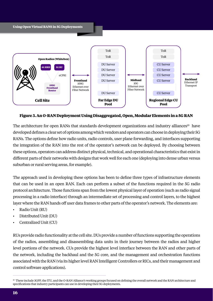

## **Figure 3. An O-RAN Deployment Using Disaggregated, Open, Modular Elements in a 5G RAN**

The architecture for open RANs that standards development organizations and industry alliances<sup>10</sup> have developed defines a clear set of options among which vendors and operators can choose in deploying their 5G RANs. The options define how radio units, radio controls, user plane forwarding, and interfaces supporting the integration of the RAN into the rest of the operator's network can be deployed. By choosing between these options, operators can address distinct physical, technical, and operational characteristics that exist in different parts of their networks with designs that work well for each one (deploying into dense urban versus suburban or rural serving areas, for example).

The approach used in developing these options has been to define three types of infrastructure elements that can be used in an open RAN. Each can perform a subset of the functions required in the 5G radio protocol architecture. Those functions span from the lowest physical layer of operation (such as radio signal processing in a radio interface) through an intermediate set of processing and control layers, to the highest layer where the RAN hands off user data frames to other parts of the operator's network. The elements are:

- Radio Unit (RU)
- Distributed Unit (DU)
- Centralized Unit (CU)

RUs provide radio functionality at the cell site. DUs provide a number of functions supporting the operations of the radios, assembling and disassembling data units in their journey between the radios and higher level portions of the network. CUs provide the highest level interface between the RAN and other parts of the network, including the backhaul and the 5G core, and the management and orchestration functions associated with the RAN (via its higher level RAN Intelligent Controllers or RICs, and their management and control software applications).

<sup>&</sup>lt;sup>10</sup> These include 3GPP, the ITU, and the O-RAN Alliance's working groups focused on defining the overall network and the RAN architecture and specifications that industry participants can use in developing their 5G deployments.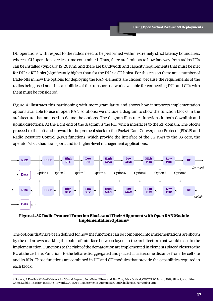DU operations with respect to the radios need to be performed within extremely strict latency boundaries, whereas CU operations are less time constrained. Thus, there are limits as to how far away from radios DUs can be installed (typically 15−20 km), and there are bandwidth and capacity requirements that must be met for DU <-> RU links (significantly higher than for the DU <-> CU links). For this reason there are a number of trade-offs in how the options for deploying the RAN elements are chosen, because the requirements of the radios being used and the capabilities of the transport network available for connecting DUs and CUs with them must be considered.

Figure 4 illustrates this partitioning with more granularity and shows how it supports implementation options available to use in open RAN solutions; we include a diagram to show the function blocks in the architecture that are used to define the options. The diagram illustrates functions in both downlink and uplink directions. At the right end of the diagram is the RU, which interfaces to the RF domain. The blocks proceed to the left and upward in the protocol stack to the Packet Data Convergence Protocol (PDCP) and Radio Resource Control (RRC) functions, which provide the interface of the 5G RAN to the 5G core, the operator's backhaul transport, and its higher-level management applications.



## **Figure 4. 5G Radio Protocol Function Blocks and Their Alignment with Open RAN Module Implementation Options 11**

The options that have been defined for how the functions can be combined into implementations are shown by the red arrows marking the point of interface between layers in the architecture that would exist in the implementation. Functions to the right of the demarcation are implemented in elements placed closer to the RU at the cell site. Functions to the left are disaggregated and placed at a site some distance from the cell site and its RUs. Those functions are combined in DU and CU modules that provide the capabilities required in each block.

<sup>&</sup>lt;sup>11</sup> Source, A Flexible X-Haul Network for 5G and Beyond, Jorg-Peter Elbers and Jim Zou, Adva Optical, OECC/PSC Japan, 2019, Slide 8, also citing China Mobile Research Institute, Toward 5G C-RAN: Requirements, Architecture and Challenges, November 2016.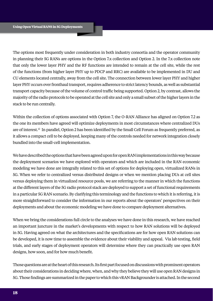The options most frequently under consideration in both industry consortia and the operator community in planning their 5G RANs are options in the Option 7.x collection and Option 2. In the 7.x collection note that only the lower layer PHY and the RF functions are intended to remain at the cell site, while the rest of the functions (from higher layer PHY up to PDCP and RRC) are available to be implemented in DU and CU elements located centrally, away from the cell site. The connection between lower layer PHY and higher layer PHY occurs over fronthaul transport, requires adherence to strict latency bounds, as well as substantial transport capacity because of the volume of control traffic being supported. Option 2, by contrast, allows the majority of the radio protocols to be operated at the cell site and only a small subset of the higher layers in the stack to be run centrally.

Within the collection of options associated with Option 7, the O-RAN Alliance has aligned on Option 7.2 as the one its members have agreed will optimize deployments in most circumstances where centralized DUs are of interest.12 In parallel, Option 2 has been identified by the Small Cell Forum as frequently preferred, as it allows a compact cell to be deployed, keeping many of the controls needed for network integration closely bundled into the small-cell implementation.

We have described the options that have been agreed upon for open RAN implementations in this way because the deployment scenarios we have explored with operators and which are included in the RAN economic modeling we have done are integrally related to this set of options for deploying open, virtualized RANs in 5G. When we refer to centralized versus distributed designs or when we mention placing DUs at cell sites versus deploying them in virtualized resource pools, we are referring to the manner in which the functions at the different layers of the 5G radio protocol stack are deployed to support a set of functional requirements in a particular 5G RAN scenario. By clarifying this terminology and the functions to which it is referring, it is more straightforward to consider the information in our reports about the operators' perspectives on their deployments and about the economic modeling we have done to compare deployment alternatives.

When we bring the considerations full circle to the analyses we have done in this research, we have reached an important juncture in the market's developments with respect to how RAN solutions will be deployed in 5G. Having agreed on what the architectures and the specifications are for how open RAN solutions can be developed, it is now time to assemble the evidence about their viability and appeal. Via lab testing, field trials, and early stages of deployment operators will determine where they can practically use open RAN designs, how soon, and for how much benefit.

Those questions are at the heart of this research. Its first part focused on discussions with prominent operators about their considerations in deciding where, when, and why they believe they will use open RAN designs in 5G. Those findings are summarized in the paper to which this vRAN Backgrounder is attached. In the second